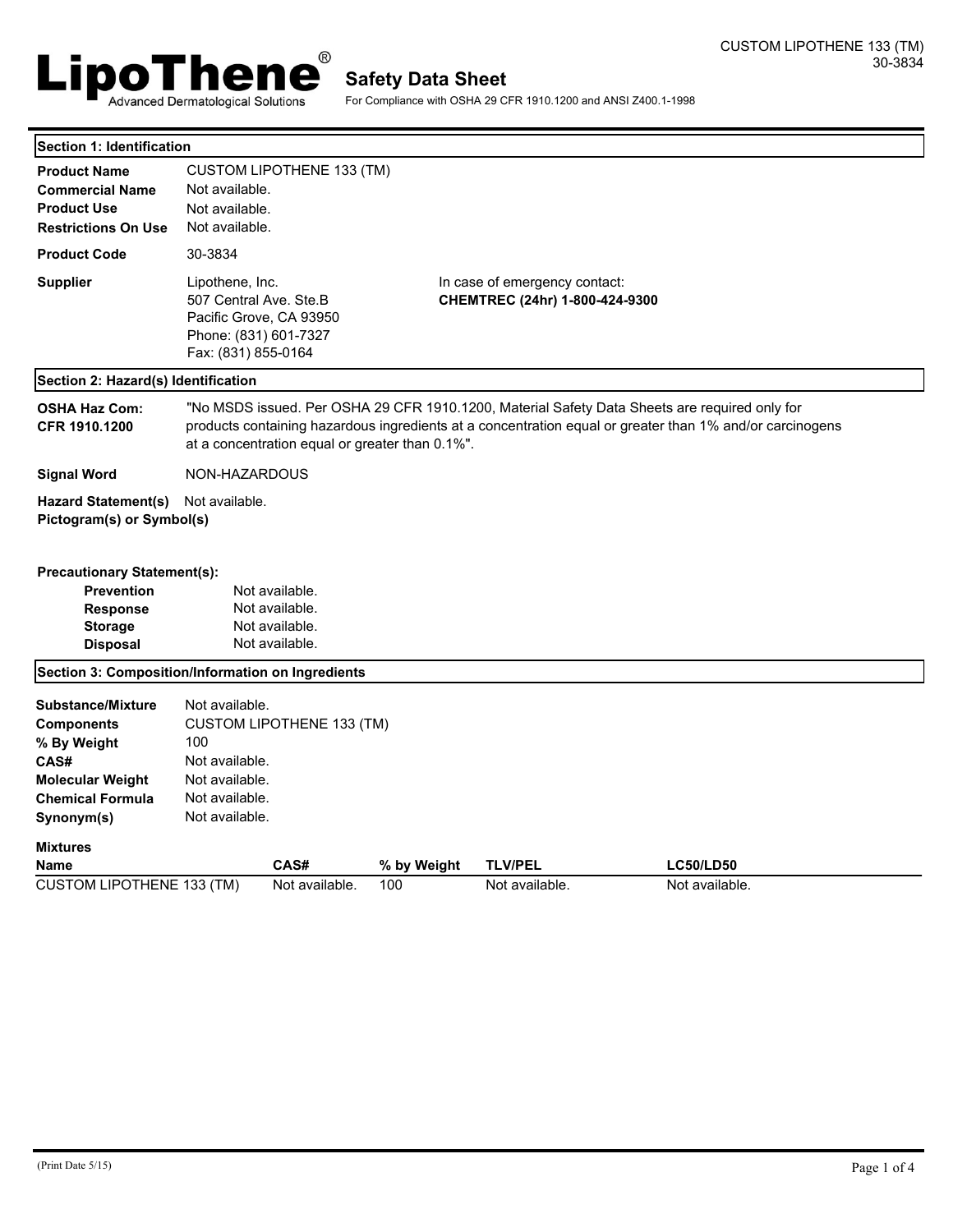

For Compliance with OSHA 29 CFR 1910.1200 and ANSI Z400.1-1998

| Section 1: Identification                                                                                                                |                                                                                                                                                                                                                                                              |             |                |                  |  |  |  |
|------------------------------------------------------------------------------------------------------------------------------------------|--------------------------------------------------------------------------------------------------------------------------------------------------------------------------------------------------------------------------------------------------------------|-------------|----------------|------------------|--|--|--|
| <b>Product Name</b><br><b>Commercial Name</b><br><b>Product Use</b><br><b>Restrictions On Use</b>                                        | <b>CUSTOM LIPOTHENE 133 (TM)</b><br>Not available.<br>Not available.<br>Not available.                                                                                                                                                                       |             |                |                  |  |  |  |
| <b>Product Code</b>                                                                                                                      | 30-3834                                                                                                                                                                                                                                                      |             |                |                  |  |  |  |
| <b>Supplier</b>                                                                                                                          | Lipothene, Inc.<br>In case of emergency contact:<br>507 Central Ave. Ste.B<br>CHEMTREC (24hr) 1-800-424-9300<br>Pacific Grove, CA 93950<br>Phone: (831) 601-7327<br>Fax: (831) 855-0164                                                                      |             |                |                  |  |  |  |
| Section 2: Hazard(s) Identification                                                                                                      |                                                                                                                                                                                                                                                              |             |                |                  |  |  |  |
| <b>OSHA Haz Com:</b><br>CFR 1910.1200                                                                                                    | "No MSDS issued. Per OSHA 29 CFR 1910.1200, Material Safety Data Sheets are required only for<br>products containing hazardous ingredients at a concentration equal or greater than 1% and/or carcinogens<br>at a concentration equal or greater than 0.1%". |             |                |                  |  |  |  |
| <b>Signal Word</b>                                                                                                                       | NON-HAZARDOUS                                                                                                                                                                                                                                                |             |                |                  |  |  |  |
| <b>Hazard Statement(s)</b><br>Pictogram(s) or Symbol(s)                                                                                  | Not available.                                                                                                                                                                                                                                               |             |                |                  |  |  |  |
| <b>Precautionary Statement(s):</b>                                                                                                       |                                                                                                                                                                                                                                                              |             |                |                  |  |  |  |
| <b>Prevention</b><br><b>Response</b><br><b>Storage</b><br><b>Disposal</b>                                                                | Not available.<br>Not available.<br>Not available.<br>Not available.                                                                                                                                                                                         |             |                |                  |  |  |  |
| Section 3: Composition/Information on Ingredients                                                                                        |                                                                                                                                                                                                                                                              |             |                |                  |  |  |  |
| <b>Substance/Mixture</b><br><b>Components</b><br>% By Weight<br>CAS#<br><b>Molecular Weight</b><br><b>Chemical Formula</b><br>Synonym(s) | Not available.<br><b>CUSTOM LIPOTHENE 133 (TM)</b><br>100<br>Not available.<br>Not available.<br>Not available.<br>Not available.                                                                                                                            |             |                |                  |  |  |  |
| <b>Mixtures</b><br><b>Name</b>                                                                                                           | CAS#                                                                                                                                                                                                                                                         | % by Weight | <b>TLV/PEL</b> | <b>LC50/LD50</b> |  |  |  |
| <b>CUSTOM LIPOTHENE 133 (TM)</b>                                                                                                         | Not available.                                                                                                                                                                                                                                               | 100         | Not available. | Not available.   |  |  |  |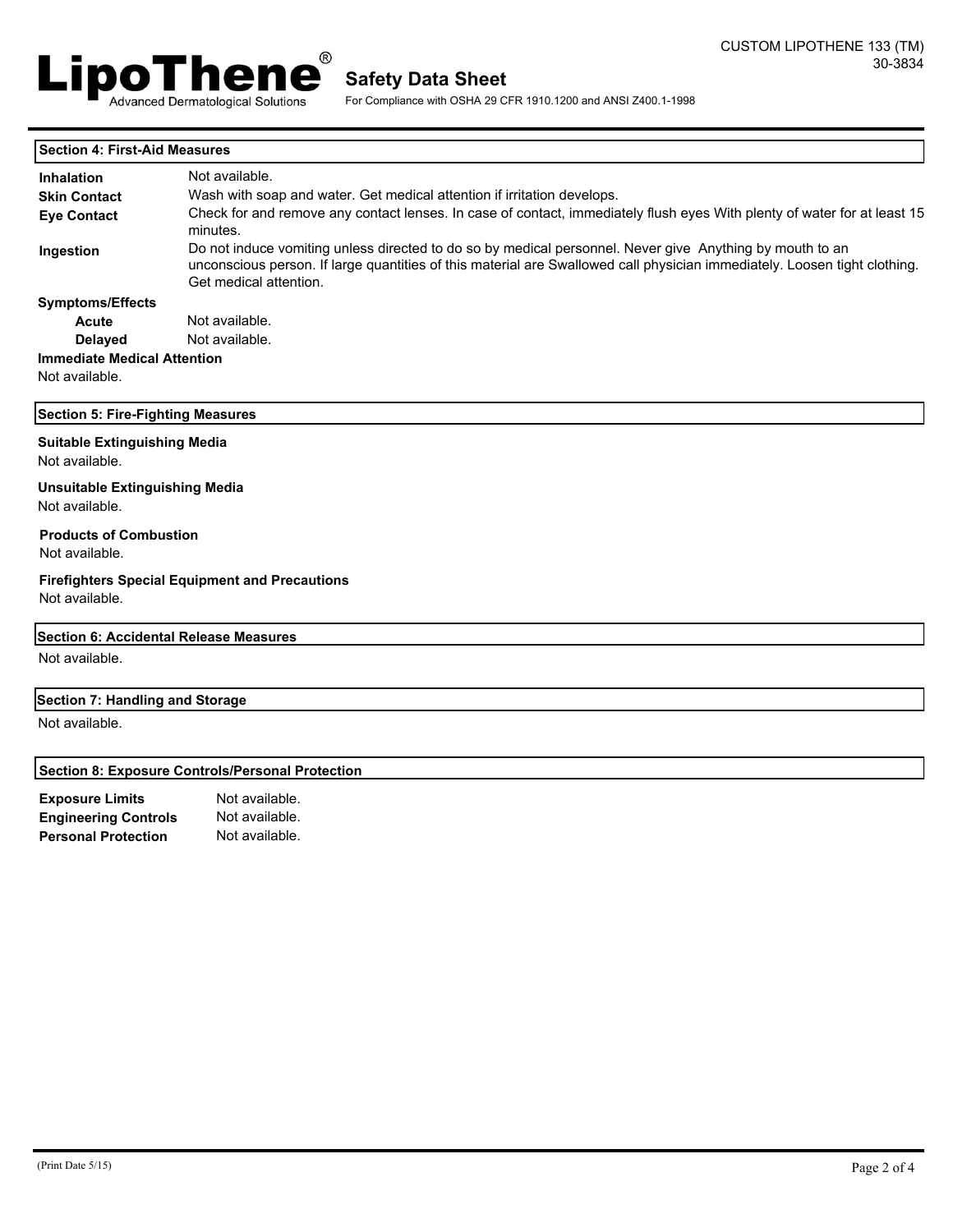

For Compliance with OSHA 29 CFR 1910.1200 and ANSI Z400.1-1998

| <b>Section 4: First-Aid Measures</b>                    |                                                                                                                                                                                                                                                                 |  |  |  |  |
|---------------------------------------------------------|-----------------------------------------------------------------------------------------------------------------------------------------------------------------------------------------------------------------------------------------------------------------|--|--|--|--|
| <b>Inhalation</b>                                       | Not available.                                                                                                                                                                                                                                                  |  |  |  |  |
| <b>Skin Contact</b>                                     | Wash with soap and water. Get medical attention if irritation develops.                                                                                                                                                                                         |  |  |  |  |
| <b>Eye Contact</b>                                      | Check for and remove any contact lenses. In case of contact, immediately flush eyes With plenty of water for at least 15<br>minutes.                                                                                                                            |  |  |  |  |
| Ingestion                                               | Do not induce vomiting unless directed to do so by medical personnel. Never give Anything by mouth to an<br>unconscious person. If large quantities of this material are Swallowed call physician immediately. Loosen tight clothing.<br>Get medical attention. |  |  |  |  |
| <b>Symptoms/Effects</b>                                 |                                                                                                                                                                                                                                                                 |  |  |  |  |
| Acute                                                   | Not available.                                                                                                                                                                                                                                                  |  |  |  |  |
| <b>Delayed</b>                                          | Not available.                                                                                                                                                                                                                                                  |  |  |  |  |
| <b>Immediate Medical Attention</b>                      |                                                                                                                                                                                                                                                                 |  |  |  |  |
| Not available.                                          |                                                                                                                                                                                                                                                                 |  |  |  |  |
| <b>Section 5: Fire-Fighting Measures</b>                |                                                                                                                                                                                                                                                                 |  |  |  |  |
| <b>Suitable Extinguishing Media</b><br>Not available.   |                                                                                                                                                                                                                                                                 |  |  |  |  |
| <b>Unsuitable Extinguishing Media</b><br>Not available. |                                                                                                                                                                                                                                                                 |  |  |  |  |
| <b>Products of Combustion</b><br>Not available.         |                                                                                                                                                                                                                                                                 |  |  |  |  |
| Not available.                                          | <b>Firefighters Special Equipment and Precautions</b>                                                                                                                                                                                                           |  |  |  |  |
| Section 6: Accidental Release Measures                  |                                                                                                                                                                                                                                                                 |  |  |  |  |
| Not available.                                          |                                                                                                                                                                                                                                                                 |  |  |  |  |
| Section 7: Handling and Storage                         |                                                                                                                                                                                                                                                                 |  |  |  |  |
| Not available.                                          |                                                                                                                                                                                                                                                                 |  |  |  |  |
|                                                         | <b>Section 8: Exposure Controls/Personal Protection</b>                                                                                                                                                                                                         |  |  |  |  |
| <b>Exposure Limits</b>                                  | Not available.                                                                                                                                                                                                                                                  |  |  |  |  |
| <b>Engineering Controls</b>                             | Not available.                                                                                                                                                                                                                                                  |  |  |  |  |

**Personal Protection** Not available.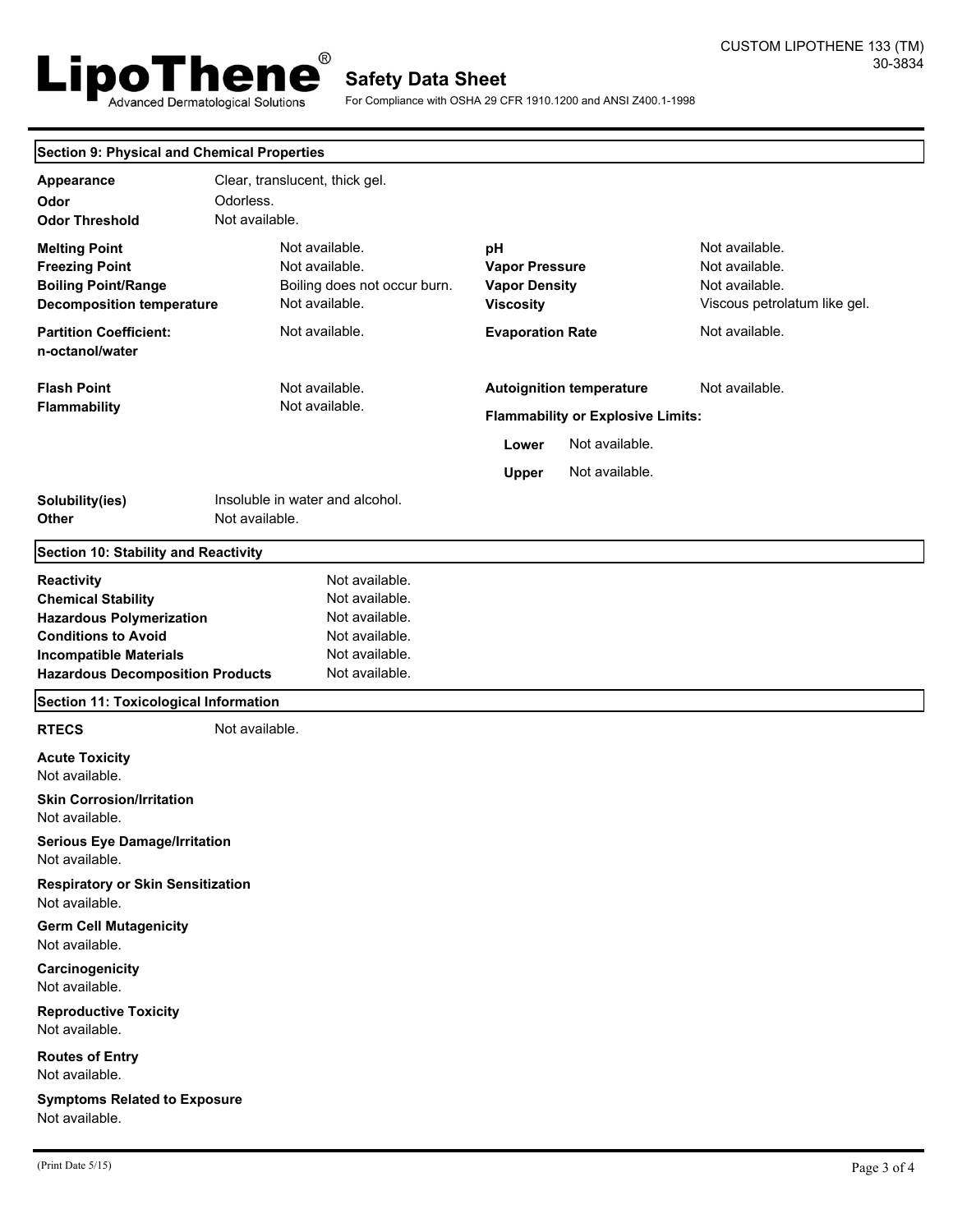

For Compliance with OSHA 29 CFR 1910.1200 and ANSI Z400.1-1998

| <b>Section 9: Physical and Chemical Properties</b>                                                                                                                                   |                                                                                                          |                                                                             |                                                                                    |  |  |
|--------------------------------------------------------------------------------------------------------------------------------------------------------------------------------------|----------------------------------------------------------------------------------------------------------|-----------------------------------------------------------------------------|------------------------------------------------------------------------------------|--|--|
| Appearance<br>Odor<br><b>Odor Threshold</b>                                                                                                                                          | Clear, translucent, thick gel.<br>Odorless.<br>Not available.                                            |                                                                             |                                                                                    |  |  |
| <b>Melting Point</b><br><b>Freezing Point</b><br><b>Boiling Point/Range</b><br><b>Decomposition temperature</b>                                                                      | Not available.<br>Not available.<br>Boiling does not occur burn.<br>Not available.                       | pH<br><b>Vapor Pressure</b><br><b>Vapor Density</b><br><b>Viscosity</b>     | Not available.<br>Not available.<br>Not available.<br>Viscous petrolatum like gel. |  |  |
| <b>Partition Coefficient:</b><br>n-octanol/water                                                                                                                                     | Not available.                                                                                           | <b>Evaporation Rate</b>                                                     | Not available.                                                                     |  |  |
| <b>Flash Point</b><br><b>Flammability</b>                                                                                                                                            | Not available.<br>Not available.                                                                         | <b>Autoignition temperature</b><br><b>Flammability or Explosive Limits:</b> | Not available.                                                                     |  |  |
|                                                                                                                                                                                      |                                                                                                          | Not available.<br>Lower<br>Not available.<br><b>Upper</b>                   |                                                                                    |  |  |
| Solubility(ies)<br>Other                                                                                                                                                             | Insoluble in water and alcohol.<br>Not available.                                                        |                                                                             |                                                                                    |  |  |
| <b>Section 10: Stability and Reactivity</b>                                                                                                                                          |                                                                                                          |                                                                             |                                                                                    |  |  |
| Reactivity<br><b>Chemical Stability</b><br><b>Hazardous Polymerization</b><br><b>Conditions to Avoid</b><br><b>Incompatible Materials</b><br><b>Hazardous Decomposition Products</b> | Not available.<br>Not available.<br>Not available.<br>Not available.<br>Not available.<br>Not available. |                                                                             |                                                                                    |  |  |
| <b>Section 11: Toxicological Information</b>                                                                                                                                         |                                                                                                          |                                                                             |                                                                                    |  |  |
| <b>RTECS</b>                                                                                                                                                                         | Not available.                                                                                           |                                                                             |                                                                                    |  |  |
| <b>Acute Toxicity</b><br>Not available.                                                                                                                                              |                                                                                                          |                                                                             |                                                                                    |  |  |
| <b>Skin Corrosion/Irritation</b><br>Not available.                                                                                                                                   |                                                                                                          |                                                                             |                                                                                    |  |  |
| <b>Serious Eye Damage/Irritation</b><br>Not available.                                                                                                                               |                                                                                                          |                                                                             |                                                                                    |  |  |
| <b>Respiratory or Skin Sensitization</b><br>Not available.                                                                                                                           |                                                                                                          |                                                                             |                                                                                    |  |  |
| <b>Germ Cell Mutagenicity</b><br>Not available.                                                                                                                                      |                                                                                                          |                                                                             |                                                                                    |  |  |
| Carcinogenicity<br>Not available.                                                                                                                                                    |                                                                                                          |                                                                             |                                                                                    |  |  |
| <b>Reproductive Toxicity</b><br>Not available.                                                                                                                                       |                                                                                                          |                                                                             |                                                                                    |  |  |
| <b>Routes of Entry</b><br>Not available.                                                                                                                                             |                                                                                                          |                                                                             |                                                                                    |  |  |
| <b>Symptoms Related to Exposure</b><br>Not available.                                                                                                                                |                                                                                                          |                                                                             |                                                                                    |  |  |